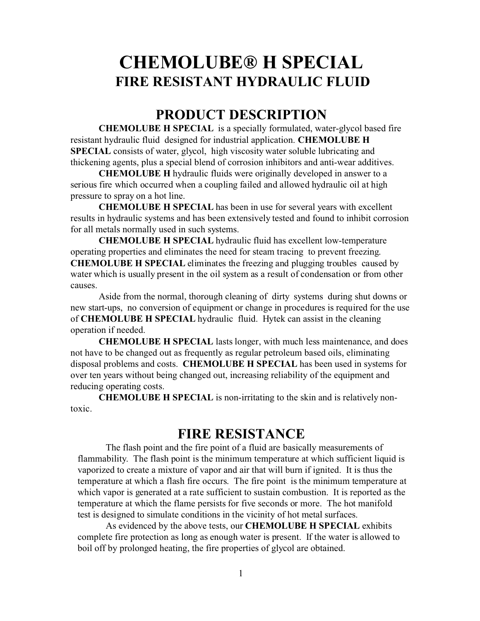# **CHEMOLUBE® H SPECIAL FIRE RESISTANT HYDRAULIC FLUID**

#### **PRODUCT DESCRIPTION**

**CHEMOLUBE H SPECIAL** is a specially formulated, water-glycol based fire resistant hydraulic fluid designed for industrial application. **CHEMOLUBE H SPECIAL** consists of water, glycol, high viscosity water soluble lubricating and thickening agents, plus a special blend of corrosion inhibitors and anti-wear additives.

**CHEMOLUBE H** hydraulic fluids were originally developed in answer to a serious fire which occurred when a coupling failed and allowed hydraulic oil at high pressure to spray on a hot line.

**CHEMOLUBE H SPECIAL** has been in use for several years with excellent results in hydraulic systems and has been extensively tested and found to inhibit corrosion for all metals normally used in such systems.

**CHEMOLUBE H SPECIAL** hydraulic fluid has excellent low-temperature operating properties and eliminates the need for steam tracing to prevent freezing. **CHEMOLUBE H SPECIAL** eliminates the freezing and plugging troubles caused by water which is usually present in the oil system as a result of condensation or from other causes.

Aside from the normal, thorough cleaning of dirty systems during shut downs or new start-ups, no conversion of equipment or change in procedures is required for the use of **CHEMOLUBE H SPECIAL** hydraulic fluid. Hytek can assist in the cleaning operation if needed.

**CHEMOLUBE H SPECIAL** lasts longer, with much less maintenance, and does not have to be changed out as frequently as regular petroleum based oils, eliminating disposal problems and costs. **CHEMOLUBE H SPECIAL** has been used in systems for over ten years without being changed out, increasing reliability of the equipment and reducing operating costs.

**CHEMOLUBE H SPECIAL** is non-irritating to the skin and is relatively nontoxic.

#### **FIRE RESISTANCE**

The flash point and the fire point of a fluid are basically measurements of flammability. The flash point is the minimum temperature at which sufficient liquid is vaporized to create a mixture of vapor and air that will burn if ignited. It is thus the temperature at which a flash fire occurs. The fire point is the minimum temperature at which vapor is generated at a rate sufficient to sustain combustion. It is reported as the temperature at which the flame persists for five seconds or more. The hot manifold test is designed to simulate conditions in the vicinity of hot metal surfaces.

As evidenced by the above tests, our **CHEMOLUBE H SPECIAL** exhibits complete fire protection as long as enough water is present. If the water is allowed to boil off by prolonged heating, the fire properties of glycol are obtained.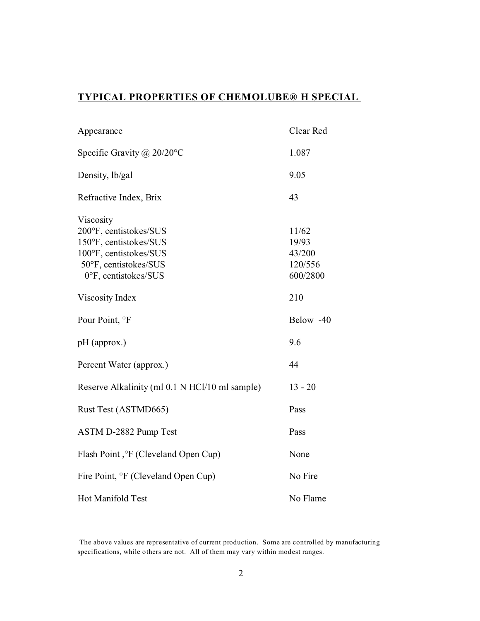#### **TYPICAL PROPERTIES OF CHEMOLUBE® H SPECIAL**

| Appearance                                                                                                                               | Clear Red                                       |
|------------------------------------------------------------------------------------------------------------------------------------------|-------------------------------------------------|
| Specific Gravity @ $20/20$ °C                                                                                                            | 1.087                                           |
| Density, lb/gal                                                                                                                          | 9.05                                            |
| Refractive Index, Brix                                                                                                                   | 43                                              |
| Viscosity<br>200°F, centistokes/SUS<br>150°F, centistokes/SUS<br>100°F, centistokes/SUS<br>50°F, centistokes/SUS<br>0°F, centistokes/SUS | 11/62<br>19/93<br>43/200<br>120/556<br>600/2800 |
| Viscosity Index                                                                                                                          | 210                                             |
| Pour Point, °F                                                                                                                           | Below -40                                       |
| pH (approx.)                                                                                                                             | 9.6                                             |
| Percent Water (approx.)                                                                                                                  | 44                                              |
| Reserve Alkalinity (ml 0.1 N HCl/10 ml sample)                                                                                           | $13 - 20$                                       |
| Rust Test (ASTMD665)                                                                                                                     | Pass                                            |
| ASTM D-2882 Pump Test                                                                                                                    | Pass                                            |
| Flash Point, <sup>o</sup> F (Cleveland Open Cup)                                                                                         | None                                            |
| Fire Point, <sup>o</sup> F (Cleveland Open Cup)                                                                                          | No Fire                                         |
| Hot Manifold Test                                                                                                                        | No Flame                                        |

The above values are representative of current production. Some are controlled by manufacturing specifications, while others are not. All of them may vary within modest ranges.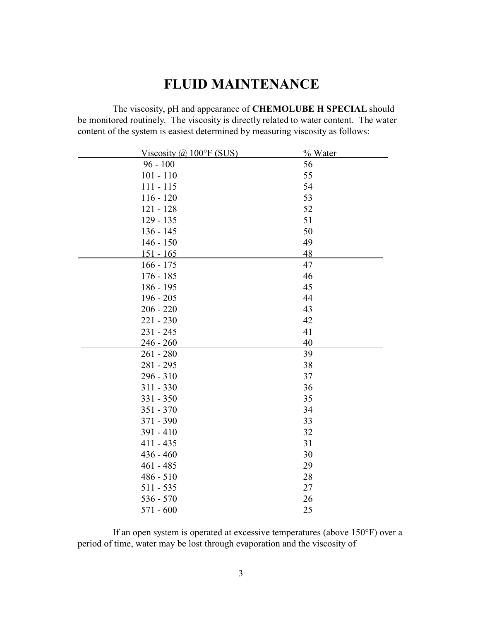## **FLUID MAINTENANCE**

The viscosity, pH and appearance of **CHEMOLUBE H SPECIAL** should be monitored routinely. The viscosity is directly related to water content. The water content of the system is easiest determined by measuring viscosity as follows:

| Viscosity $\omega$ 100°F (SUS) | % Water |
|--------------------------------|---------|
| $96 - 100$                     | 56      |
| $101 - 110$                    | 55      |
| $111 - 115$                    | 54      |
| $116 - 120$                    | 53      |
| $121 - 128$                    | 52      |
| $129 - 135$                    | 51      |
| $136 - 145$                    | 50      |
| $146 - 150$                    | 49      |
| $151 - 165$                    | 48      |
| $166 - 175$                    | 47      |
| $176 - 185$                    | 46      |
| 186 - 195                      | 45      |
| $196 - 205$                    | 44      |
| $206 - 220$                    | 43      |
| $221 - 230$                    | 42      |
| $231 - 245$                    | 41      |
| <u>246 - 260</u>               | 40      |
| $261 - 280$                    | 39      |
| 281 - 295                      | 38      |
| $296 - 310$                    | 37      |
| $311 - 330$                    | 36      |
| $331 - 350$                    | 35      |
| $351 - 370$                    | 34      |
| 371 - 390                      | 33      |
| $391 - 410$                    | 32      |
| $411 - 435$                    | 31      |
| $436 - 460$                    | 30      |
| $461 - 485$                    | 29      |
| $486 - 510$                    | 28      |
| $511 - 535$                    | 27      |
| $536 - 570$                    | 26      |
| $571 - 600$                    | 25      |

If an open system is operated at excessive temperatures (above 150°F) over a period of time, water may be lost through evaporation and the viscosity of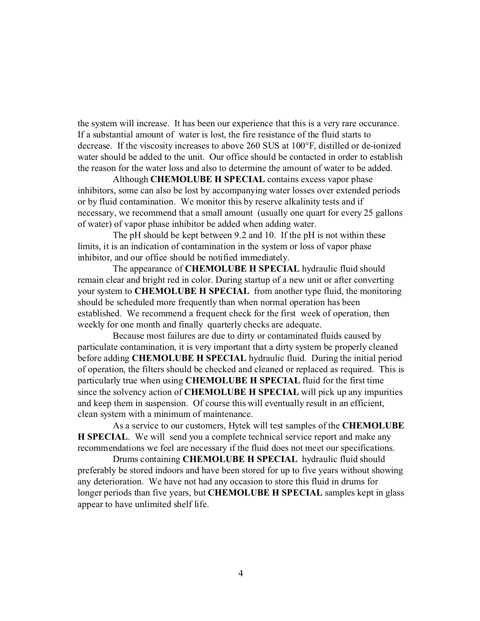the system will increase. It has been our experience that this is a very rare occurance. If a substantial amount of water is lost, the fire resistance of the fluid starts to decrease. If the viscosity increases to above 260 SUS at 100°F, distilled or de-ionized water should be added to the unit. Our office should be contacted in order to establish the reason for the water loss and also to determine the amount of water to be added.

Although **CHEMOLUBE H SPECIAL** contains excess vapor phase inhibitors, some can also be lost by accompanying water losses over extended periods or by fluid contamination. We monitor this by reserve alkalinity tests and if necessary, we recommend that a small amount (usually one quart for every 25 gallons of water) of vapor phase inhibitor be added when adding water.

The pH should be kept between 9.2 and 10. If the pH is not within these limits, it is an indication of contamination in the system or loss of vapor phase inhibitor, and our office should be notified immediately.

The appearance of **CHEMOLUBE H SPECIAL** hydraulic fluid should remain clear and bright red in color. During startup of a new unit or after converting your system to **CHEMOLUBE H SPECIAL** from another type fluid, the monitoring should be scheduled more frequently than when normal operation has been established. We recommend a frequent check for the first week of operation, then weekly for one month and finally quarterly checks are adequate.

Because most failures are due to dirty or contaminated fluids caused by particulate contamination, it is very important that a dirty system be properly cleaned before adding **CHEMOLUBE H SPECIAL** hydraulic fluid. During the initial period of operation, the filters should be checked and cleaned or replaced as required. This is particularly true when using **CHEMOLUBE H SPECIAL** fluid for the first time since the solvency action of **CHEMOLUBE H SPECIAL** will pick up any impurities and keep them in suspension. Of course this will eventually result in an efficient, clean system with a minimum of maintenance.

As a service to our customers, Hytek will test samples of the **CHEMOLUBE H SPECIAL**. We will send you a complete technical service report and make any recommendations we feel are necessary if the fluid does not meet our specifications.

Drums containing **CHEMOLUBE H SPECIAL** hydraulic fluid should preferably be stored indoors and have been stored for up to five years without showing any deterioration. We have not had any occasion to store this fluid in drums for longer periods than five years, but **CHEMOLUBE H SPECIAL** samples kept in glass appear to have unlimited shelf life.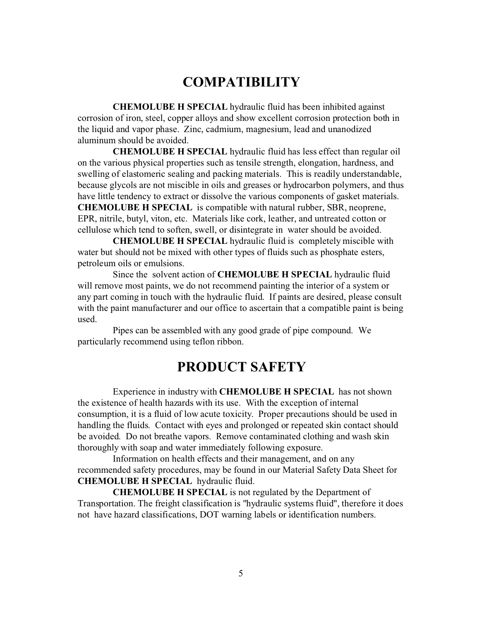# **COMPATIBILITY**

**CHEMOLUBE H SPECIAL** hydraulic fluid has been inhibited against corrosion of iron, steel, copper alloys and show excellent corrosion protection both in the liquid and vapor phase. Zinc, cadmium, magnesium, lead and unanodized aluminum should be avoided.

**CHEMOLUBE H SPECIAL** hydraulic fluid has less effect than regular oil on the various physical properties such as tensile strength, elongation, hardness, and swelling of elastomeric sealing and packing materials. This is readily understandable, because glycols are not miscible in oils and greases or hydrocarbon polymers, and thus have little tendency to extract or dissolve the various components of gasket materials. **CHEMOLUBE H SPECIAL** is compatible with natural rubber, SBR, neoprene, EPR, nitrile, butyl, viton, etc. Materials like cork, leather, and untreated cotton or cellulose which tend to soften, swell, or disintegrate in water should be avoided.

**CHEMOLUBE H SPECIAL** hydraulic fluid is completely miscible with water but should not be mixed with other types of fluids such as phosphate esters, petroleum oils or emulsions.

Since the solvent action of **CHEMOLUBE H SPECIAL** hydraulic fluid will remove most paints, we do not recommend painting the interior of a system or any part coming in touch with the hydraulic fluid. If paints are desired, please consult with the paint manufacturer and our office to ascertain that a compatible paint is being used.

Pipes can be assembled with any good grade of pipe compound. We particularly recommend using teflon ribbon.

## **PRODUCT SAFETY**

Experience in industry with **CHEMOLUBE H SPECIAL** has not shown the existence of health hazards with its use. With the exception of internal consumption, it is a fluid of low acute toxicity. Proper precautions should be used in handling the fluids. Contact with eyes and prolonged or repeated skin contact should be avoided. Do not breathe vapors. Remove contaminated clothing and wash skin thoroughly with soap and water immediately following exposure.

Information on health effects and their management, and on any recommended safety procedures, may be found in our Material Safety Data Sheet for **CHEMOLUBE H SPECIAL** hydraulic fluid.

**CHEMOLUBE H SPECIAL** is not regulated by the Department of Transportation. The freight classification is "hydraulic systems fluid", therefore it does not have hazard classifications, DOT warning labels or identification numbers.